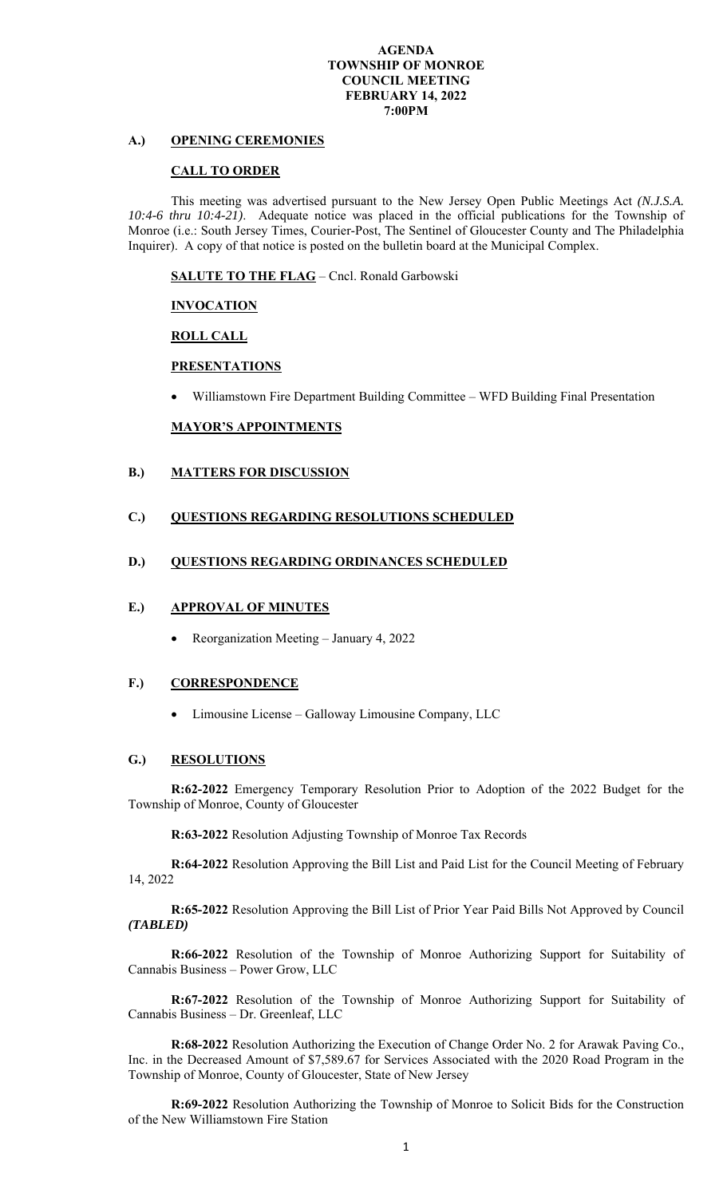#### **AGENDA TOWNSHIP OF MONROE COUNCIL MEETING FEBRUARY 14, 2022 7:00PM**

# **A.) OPENING CEREMONIES**

## **CALL TO ORDER**

This meeting was advertised pursuant to the New Jersey Open Public Meetings Act *(N.J.S.A. 10:4-6 thru 10:4-21)*.Adequate notice was placed in the official publications for the Township of Monroe (i.e.: South Jersey Times, Courier-Post, The Sentinel of Gloucester County and The Philadelphia Inquirer). A copy of that notice is posted on the bulletin board at the Municipal Complex.

**SALUTE TO THE FLAG** – Cncl. Ronald Garbowski

## **INVOCATION**

 **ROLL CALL** 

# **PRESENTATIONS**

Williamstown Fire Department Building Committee – WFD Building Final Presentation

## **MAYOR'S APPOINTMENTS**

## **B.) MATTERS FOR DISCUSSION**

## **C.) QUESTIONS REGARDING RESOLUTIONS SCHEDULED**

### **D.) QUESTIONS REGARDING ORDINANCES SCHEDULED**

#### **E.) APPROVAL OF MINUTES**

• Reorganization Meeting – January 4, 2022

#### **F.) CORRESPONDENCE**

• Limousine License – Galloway Limousine Company, LLC

### **G.) RESOLUTIONS**

**R:62-2022** Emergency Temporary Resolution Prior to Adoption of the 2022 Budget for the Township of Monroe, County of Gloucester

**R:63-2022** Resolution Adjusting Township of Monroe Tax Records

**R:64-2022** Resolution Approving the Bill List and Paid List for the Council Meeting of February 14, 2022

**R:65-2022** Resolution Approving the Bill List of Prior Year Paid Bills Not Approved by Council *(TABLED)* 

**R:66-2022** Resolution of the Township of Monroe Authorizing Support for Suitability of Cannabis Business – Power Grow, LLC

**R:67-2022** Resolution of the Township of Monroe Authorizing Support for Suitability of Cannabis Business – Dr. Greenleaf, LLC

**R:68-2022** Resolution Authorizing the Execution of Change Order No. 2 for Arawak Paving Co., Inc. in the Decreased Amount of \$7,589.67 for Services Associated with the 2020 Road Program in the Township of Monroe, County of Gloucester, State of New Jersey

**R:69-2022** Resolution Authorizing the Township of Monroe to Solicit Bids for the Construction of the New Williamstown Fire Station